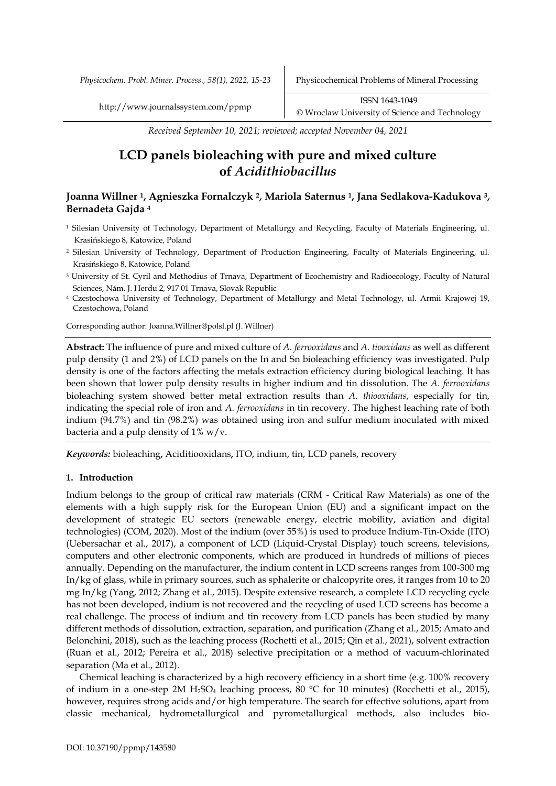*Received September 10, 2021; reviewed; accepted November 04, 2021*

# **LCD panels bioleaching with pure and mixed culture of** *Acidithiobacillus*

## **Joanna Willner <sup>1</sup>, Agnieszka Fornalczyk <sup>2</sup>, Mariola Saternus 1, Jana Sedlakova-Kadukova <sup>3</sup>, Bernadeta Gajda <sup>4</sup>**

- <sup>1</sup> Silesian University of Technology, Department of Metallurgy and Recycling, Faculty of Materials Engineering, ul. Krasińskiego 8, Katowice, Poland
- <sup>2</sup> Silesian University of Technology, Department of Production Engineering, Faculty of Materials Engineering, ul. Krasińskiego 8, Katowice, Poland
- <sup>3</sup> University of St. Cyril and Methodius of Trnava, Department of Ecochemistry and Radioecology, Faculty of Natural Sciences, Nám. J. Herdu 2, 917 01 Trnava, Slovak Republic
- <sup>4</sup> Czestochowa University of Technology, Department of Metallurgy and Metal Technology, ul. Armii Krajowej 19, Czestochowa, Poland

Corresponding author: Joanna.Willner@polsl.pl (J. Willner)

**Abstract:** The influence of pure and mixed culture of *A. ferrooxidans* and *A. tiooxidans* as well as different pulp density (1 and 2%) of LCD panels on the In and Sn bioleaching efficiency was investigated. Pulp density is one of the factors affecting the metals extraction efficiency during biological leaching. It has been shown that lower pulp density results in higher indium and tin dissolution. The *A. ferrooxidans* bioleaching system showed better metal extraction results than *A. thiooxidans*, especially for tin, indicating the special role of iron and *A. ferrooxidans* in tin recovery. The highest leaching rate of both indium (94.7%) and tin (98.2%) was obtained using iron and sulfur medium inoculated with mixed bacteria and a pulp density of  $1\%$  w/v.

*Keywords:* bioleaching**,** Aciditiooxidans**,** ITO, indium, tin, LCD panels, recovery

## **1. Introduction**

Indium belongs to the group of critical raw materials (CRM - Critical Raw Materials) as one of the elements with a high supply risk for the European Union (EU) and a significant impact on the development of strategic EU sectors (renewable energy, electric mobility, aviation and digital technologies) (COM, 2020). Most of the indium (over 55%) is used to produce Indium-Tin-Oxide (ITO) (Uebersachar et al., 2017), a component of LCD (Liquid-Crystal Display) touch screens, televisions, computers and other electronic components, which are produced in hundreds of millions of pieces annually. Depending on the manufacturer, the indium content in LCD screens ranges from 100-300 mg In/kg of glass, while in primary sources, such as sphalerite or chalcopyrite ores, it ranges from 10 to 20 mg In/kg (Yang, 2012; Zhang et al., 2015). Despite extensive research, a complete LCD recycling cycle has not been developed, indium is not recovered and the recycling of used LCD screens has become a real challenge. The process of indium and tin recovery from LCD panels has been studied by many different methods of dissolution, extraction, separation, and purification (Zhang et al., 2015; Amato and Belonchini, 2018), such as the leaching process (Rochetti et al., 2015; Qin et al., 2021), solvent extraction (Ruan et al., 2012; Pereira et al., 2018) selective precipitation or a method of vacuum-chlorinated separation (Ma et al., 2012).

Chemical leaching is characterized by a high recovery efficiency in a short time (e.g. 100% recovery of indium in a one-step 2M H<sub>2</sub>SO<sub>4</sub> leaching process, 80 °C for 10 minutes) (Rocchetti et al., 2015), however, requires strong acids and/or high temperature. The search for effective solutions, apart from classic mechanical, hydrometallurgical and pyrometallurgical methods, also includes bio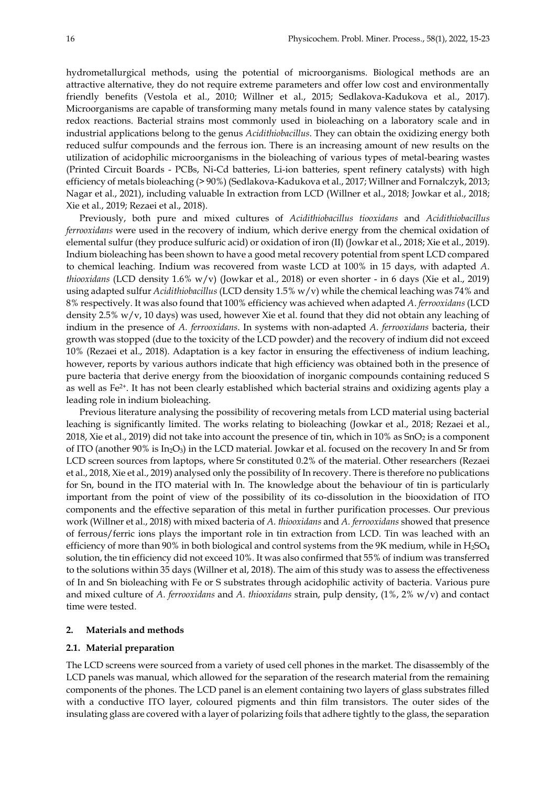hydrometallurgical methods, using the potential of microorganisms. Biological methods are an attractive alternative, they do not require extreme parameters and offer low cost and environmentally friendly benefits (Vestola et al., 2010; Willner et al., 2015; Sedlakova-Kadukova et al., 2017). Microorganisms are capable of transforming many metals found in many valence states by catalysing redox reactions. Bacterial strains most commonly used in bioleaching on a laboratory scale and in industrial applications belong to the genus *Acidithiobacillus*. They can obtain the oxidizing energy both reduced sulfur compounds and the ferrous ion. There is an increasing amount of new results on the utilization of acidophilic microorganisms in the bioleaching of various types of metal-bearing wastes (Printed Circuit Boards - PCBs, Ni-Cd batteries, Li-ion batteries, spent refinery catalysts) with high efficiency of metals bioleaching (> 90%) (Sedlakova-Kadukova et al., 2017; Willner and Fornalczyk, 2013; Nagar et al., 2021), including valuable In extraction from LCD (Willner et al., 2018; Jowkar et al., 2018; Xie et al., 2019; Rezaei et al., 2018).

Previously, both pure and mixed cultures of *Acidithiobacillus tiooxidans* and *Acidithiobacillus ferrooxidans* were used in the recovery of indium, which derive energy from the chemical oxidation of elemental sulfur (they produce sulfuric acid) or oxidation of iron (II) (Jowkar et al., 2018; Xie et al., 2019). Indium bioleaching has been shown to have a good metal recovery potential from spent LCD compared to chemical leaching. Indium was recovered from waste LCD at 100% in 15 days, with adapted *A*. *thiooxidans* (LCD density 1.6% w/v) (Jowkar et al., 2018) or even shorter - in 6 days (Xie et al., 2019) using adapted sulfur *Acidithiobacillus* (LCD density 1.5% w/v) while the chemical leaching was 74% and 8% respectively. It was also found that 100% efficiency was achieved when adapted *A*. *ferrooxidans* (LCD density 2.5% w/v, 10 days) was used, however Xie et al. found that they did not obtain any leaching of indium in the presence of *A. ferrooxidans*. In systems with non-adapted *A. ferrooxidans* bacteria, their growth was stopped (due to the toxicity of the LCD powder) and the recovery of indium did not exceed 10% (Rezaei et al., 2018). Adaptation is a key factor in ensuring the effectiveness of indium leaching, however, reports by various authors indicate that high efficiency was obtained both in the presence of pure bacteria that derive energy from the biooxidation of inorganic compounds containing reduced S as well as Fe<sup>2+</sup>. It has not been clearly established which bacterial strains and oxidizing agents play a leading role in indium bioleaching.

Previous literature analysing the possibility of recovering metals from LCD material using bacterial leaching is significantly limited. The works relating to bioleaching (Jowkar et al., 2018; Rezaei et al., 2018, Xie et al., 2019) did not take into account the presence of tin, which in 10% as  $SnO<sub>2</sub>$  is a component of ITO (another  $90\%$  is In<sub>2</sub>O<sub>3</sub>) in the LCD material. Jowkar et al. focused on the recovery In and Sr from LCD screen sources from laptops, where Sr constituted 0.2% of the material. Other researchers (Rezaei et al., 2018, Xie et al., 2019) analysed only the possibility of In recovery. There is therefore no publications for Sn, bound in the ITO material with In. The knowledge about the behaviour of tin is particularly important from the point of view of the possibility of its co-dissolution in the biooxidation of ITO components and the effective separation of this metal in further purification processes. Our previous work (Willner et al., 2018) with mixed bacteria of *A. thiooxidans* and *A. ferrooxidans* showed that presence of ferrous/ferric ions plays the important role in tin extraction from LCD. Tin was leached with an efficiency of more than 90% in both biological and control systems from the 9K medium, while in H<sub>2</sub>SO<sub>4</sub> solution, the tin efficiency did not exceed 10%. It was also confirmed that 55% of indium was transferred to the solutions within 35 days (Willner et al, 2018). The aim of this study was to assess the effectiveness of In and Sn bioleaching with Fe or S substrates through acidophilic activity of bacteria. Various pure and mixed culture of *A. ferrooxidans* and *A. thiooxidans* strain, pulp density, (1%, 2% w/v) and contact time were tested.

## **2. Materials and methods**

## **2.1. Material preparation**

The LCD screens were sourced from a variety of used cell phones in the market. The disassembly of the LCD panels was manual, which allowed for the separation of the research material from the remaining components of the phones. The LCD panel is an element containing two layers of glass substrates filled with a conductive ITO layer, coloured pigments and thin film transistors. The outer sides of the insulating glass are covered with a layer of polarizing foils that adhere tightly to the glass, the separation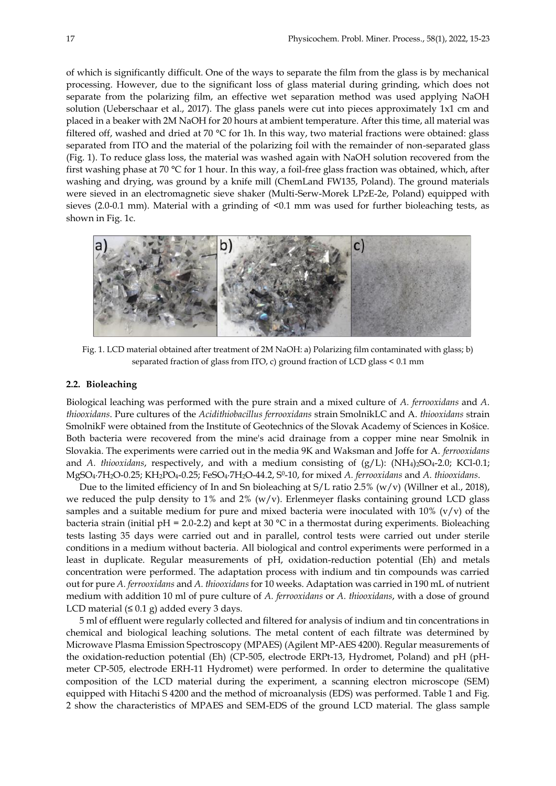of which is significantly difficult. One of the ways to separate the film from the glass is by mechanical processing. However, due to the significant loss of glass material during grinding, which does not separate from the polarizing film, an effective wet separation method was used applying NaOH solution (Ueberschaar et al., 2017). The glass panels were cut into pieces approximately 1x1 cm and placed in a beaker with 2M NaOH for 20 hours at ambient temperature. After this time, all material was filtered off, washed and dried at 70 °C for 1h. In this way, two material fractions were obtained: glass separated from ITO and the material of the polarizing foil with the remainder of non-separated glass (Fig. 1). To reduce glass loss, the material was washed again with NaOH solution recovered from the first washing phase at 70 °C for 1 hour. In this way, a foil-free glass fraction was obtained, which, after washing and drying, was ground by a knife mill (ChemLand FW135, Poland). The ground materials were sieved in an electromagnetic sieve shaker (Multi-Serw-Morek LPzE-2e, Poland) equipped with sieves (2.0-0.1 mm). Material with a grinding of  $\leq 0.1$  mm was used for further bioleaching tests, as shown in Fig. 1c.



Fig. 1. LCD material obtained after treatment of 2M NaOH: a) Polarizing film contaminated with glass; b) separated fraction of glass from ITO, c) ground fraction of LCD glass < 0.1 mm

## **2.2. Bioleaching**

Biological leaching was performed with the pure strain and a mixed culture of *A. ferrooxidans* and *A*. *thiooxidans*. Pure cultures of the *Acidithiobacillus ferrooxidans* strain SmolnikLC and A. *thiooxidans* strain SmolnikF were obtained from the Institute of Geotechnics of the Slovak Academy of Sciences in Košice. Both bacteria were recovered from the mine's acid drainage from a copper mine near Smolnik in Slovakia. The experiments were carried out in the media 9K and Waksman and Joffe for A. *ferrooxidans* and *A. thiooxidans*, respectively, and with a medium consisting of  $(g/L)$ :  $(NH<sub>4</sub>)<sub>2</sub>SO<sub>4</sub>-2.0$ ; KCl-0.1; MgSO4∙7H2O-0.25; KH2PO4-0.25; FeSO4∙7H2O-44.2, S<sup>0</sup> -10, for mixed *A. ferrooxidans* and *A. thiooxidans*.

Due to the limited efficiency of In and Sn bioleaching at  $S/L$  ratio 2.5% (w/v) (Willner et al., 2018), we reduced the pulp density to 1% and 2%  $(w/v)$ . Erlenmeyer flasks containing ground LCD glass samples and a suitable medium for pure and mixed bacteria were inoculated with  $10\%$  (v/v) of the bacteria strain (initial pH = 2.0-2.2) and kept at 30  $^{\circ}$ C in a thermostat during experiments. Bioleaching tests lasting 35 days were carried out and in parallel, control tests were carried out under sterile conditions in a medium without bacteria. All biological and control experiments were performed in a least in duplicate. Regular measurements of pH, oxidation-reduction potential (Eh) and metals concentration were performed. The adaptation process with indium and tin compounds was carried out for pure *A. ferrooxidans* and *A. thiooxidans* for 10 weeks. Adaptation was carried in 190 mL of nutrient medium with addition 10 ml of pure culture of *A. ferrooxidans* or *A. thiooxidans*, with a dose of ground LCD material  $(≤ 0.1 g)$  added every 3 days.

5 ml of effluent were regularly collected and filtered for analysis of indium and tin concentrations in chemical and biological leaching solutions. The metal content of each filtrate was determined by Microwave Plasma Emission Spectroscopy (MPAES) (Agilent MP-AES 4200). Regular measurements of the oxidation-reduction potential (Eh) (CP-505, electrode ERPt-13, Hydromet, Poland) and pH (pHmeter CP-505, electrode ERH-11 Hydromet) were performed. In order to determine the qualitative composition of the LCD material during the experiment, a scanning electron microscope (SEM) equipped with Hitachi S 4200 and the method of microanalysis (EDS) was performed. Table 1 and Fig. 2 show the characteristics of MPAES and SEM-EDS of the ground LCD material. The glass sample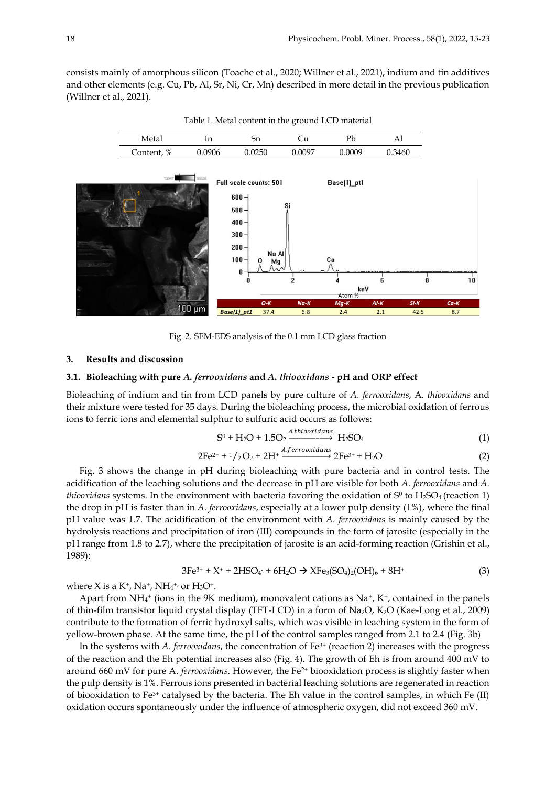consists mainly of amorphous silicon (Toache et al., 2020; Willner et al., 2021), indium and tin additives and other elements (e.g. Cu, Pb, Al, Sr, Ni, Cr, Mn) described in more detail in the previous publication (Willner et al., 2021).



Table 1. Metal content in the ground LCD material

Fig. 2. SEM-EDS analysis of the 0.1 mm LCD glass fraction

#### **3. Results and discussion**

#### **3.1. Bioleaching with pure** *A. ferrooxidans* **and** *A***.** *thiooxidans* **- pH and ORP effect**

Bioleaching of indium and tin from LCD panels by pure culture of *A. ferrooxidans*, A. *thiooxidans* and their mixture were tested for 35 days. During the bioleaching process, the microbial oxidation of ferrous ions to ferric ions and elemental sulphur to sulfuric acid occurs as follows:

$$
S^0 + H_2O + 1.5O_2 \xrightarrow{Atthiooxidans} H_2SO_4
$$
 (1)

$$
2Fe^{2+} + 1/2O_2 + 2H^+ \xrightarrow{A. ferrooxidans} 2Fe^{3+} + H_2O \tag{2}
$$

Fig. 3 shows the change in pH during bioleaching with pure bacteria and in control tests. The acidification of the leaching solutions and the decrease in pH are visible for both *A. ferrooxidans* and *A. thiooxidans* systems. In the environment with bacteria favoring the oxidation of S<sup>0</sup> to H<sub>2</sub>SO<sub>4</sub> (reaction 1) the drop in pH is faster than in *A. ferrooxidans*, especially at a lower pulp density (1%), where the final pH value was 1.7. The acidification of the environment with *A. ferrooxidans* is mainly caused by the hydrolysis reactions and precipitation of iron (III) compounds in the form of jarosite (especially in the pH range from 1.8 to 2.7), where the precipitation of jarosite is an acid-forming reaction (Grishin et al., 1989):

$$
3Fe^{3+} + X^+ + 2HSO_4^- + 6H_2O \to XFe_3(SO_4)_2(OH)_6 + 8H^+ \tag{3}
$$

where X is a K<sup>+</sup>, Na<sup>+</sup>, NH<sub>4</sub><sup>+,</sup> or H<sub>3</sub>O<sup>+</sup>.

Apart from  $NH_4^+$  (ions in the 9K medium), monovalent cations as  $Na^+$ , K<sup>+</sup>, contained in the panels of thin-film transistor liquid crystal display (TFT-LCD) in a form of Na2O, K2O (Kae-Long et al., 2009) contribute to the formation of ferric hydroxyl salts, which was visible in leaching system in the form of yellow-brown phase. At the same time, the pH of the control samples ranged from 2.1 to 2.4 (Fig. 3b)

In the systems with *A. ferrooxidans*, the concentration of Fe3+ (reaction 2) increases with the progress of the reaction and the Eh potential increases also (Fig. 4). The growth of Eh is from around 400 mV to around 660 mV for pure A. *ferrooxidans*. However, the Fe<sup>2+</sup> biooxidation process is slightly faster when the pulp density is 1%. Ferrous ions presented in bacterial leaching solutions are regenerated in reaction of biooxidation to Fe3+ catalysed by the bacteria. The Eh value in the control samples, in which Fe (II) oxidation occurs spontaneously under the influence of atmospheric oxygen, did not exceed 360 mV.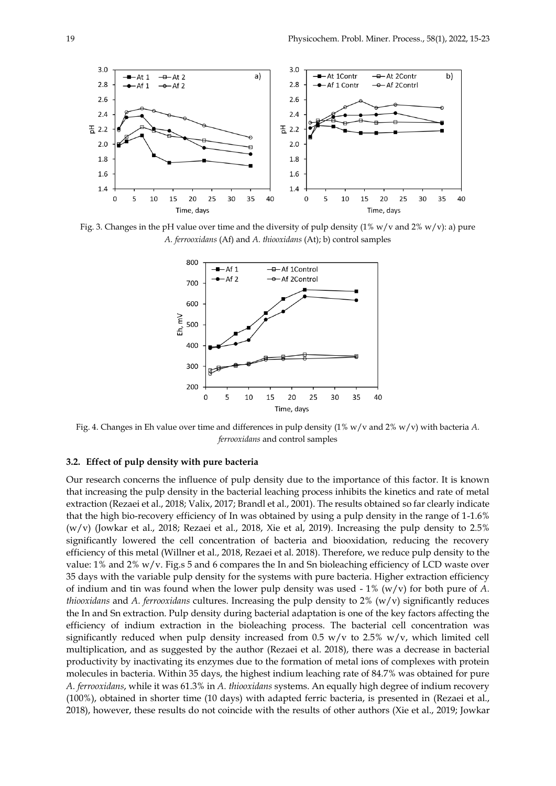

Fig. 3. Changes in the pH value over time and the diversity of pulp density  $(1\% w/v)$  and  $2\% w/v$ : a) pure *A. ferrooxidans* (Af) and *A. thiooxidans* (At); b) control samples



Fig. 4. Changes in Eh value over time and differences in pulp density (1% w/v and 2% w/v) with bacteria *A. ferrooxidans* and control samples

## **3.2. Effect of pulp density with pure bacteria**

Our research concerns the influence of pulp density due to the importance of this factor. It is known that increasing the pulp density in the bacterial leaching process inhibits the kinetics and rate of metal extraction (Rezaei et al., 2018; Valix, 2017; Brandl et al., 2001). The results obtained so far clearly indicate that the high bio-recovery efficiency of In was obtained by using a pulp density in the range of 1-1.6%  $(w/v)$  (Jowkar et al., 2018; Rezaei et al., 2018, Xie et al., 2019). Increasing the pulp density to 2.5% significantly lowered the cell concentration of bacteria and biooxidation, reducing the recovery efficiency of this metal (Willner et al., 2018, Rezaei et al. 2018). Therefore, we reduce pulp density to the value: 1% and 2% w/v. Fig.s 5 and 6 compares the In and Sn bioleaching efficiency of LCD waste over 35 days with the variable pulp density for the systems with pure bacteria. Higher extraction efficiency of indium and tin was found when the lower pulp density was used - 1% (w/v) for both pure of *A. thiooxidans* and *A. ferrooxidans* cultures. Increasing the pulp density to 2% (w/v) significantly reduces the In and Sn extraction. Pulp density during bacterial adaptation is one of the key factors affecting the efficiency of indium extraction in the bioleaching process. The bacterial cell concentration was significantly reduced when pulp density increased from 0.5 w/v to 2.5% w/v, which limited cell multiplication, and as suggested by the author (Rezaei et al. 2018), there was a decrease in bacterial productivity by inactivating its enzymes due to the formation of metal ions of complexes with protein molecules in bacteria. Within 35 days, the highest indium leaching rate of 84.7% was obtained for pure *A. ferrooxidans*, while it was 61.3% in *A. thiooxidans* systems. An equally high degree of indium recovery (100%), obtained in shorter time (10 days) with adapted ferric bacteria, is presented in (Rezaei et al., 2018), however, these results do not coincide with the results of other authors (Xie et al., 2019; Jowkar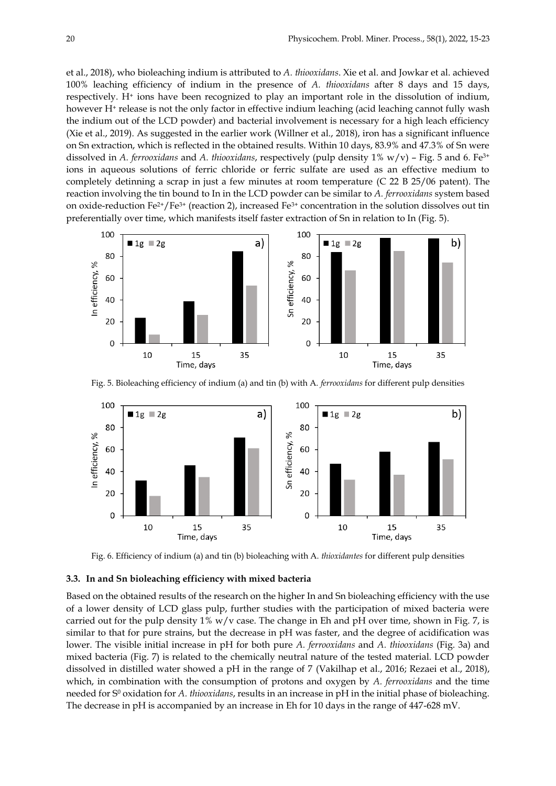et al., 2018), who bioleaching indium is attributed to *A. thiooxidans*. Xie et al. and Jowkar et al. achieved 100% leaching efficiency of indium in the presence of *A. thiooxidans* after 8 days and 15 days, respectively. H<sup>+</sup> ions have been recognized to play an important role in the dissolution of indium, however H<sup>+</sup> release is not the only factor in effective indium leaching (acid leaching cannot fully wash the indium out of the LCD powder) and bacterial involvement is necessary for a high leach efficiency (Xie et al., 2019). As suggested in the earlier work (Willner et al., 2018), iron has a significant influence on Sn extraction, which is reflected in the obtained results. Within 10 days, 83.9% and 47.3% of Sn were dissolved in *A. ferrooxidans* and *A. thiooxidans*, respectively (pulp density 1% w/v) – Fig. 5 and 6. Fe3+ ions in aqueous solutions of ferric chloride or ferric sulfate are used as an effective medium to completely detinning a scrap in just a few minutes at room temperature (C 22 B 25/06 patent). The reaction involving the tin bound to In in the LCD powder can be similar to *A. ferrooxidans* system based on oxide-reduction  $Fe^{2+}/Fe^{3+}$  (reaction 2), increased  $Fe^{3+}$  concentration in the solution dissolves out tin preferentially over time, which manifests itself faster extraction of Sn in relation to In (Fig. 5).



Fig. 5. Bioleaching efficiency of indium (a) and tin (b) with A. *ferrooxidans* for different pulp densities



Fig. 6. Efficiency of indium (a) and tin (b) bioleaching with A. *thioxidantes* for different pulp densities

#### **3.3. In and Sn bioleaching efficiency with mixed bacteria**

Based on the obtained results of the research on the higher In and Sn bioleaching efficiency with the use of a lower density of LCD glass pulp, further studies with the participation of mixed bacteria were carried out for the pulp density  $1\%$  w/v case. The change in Eh and pH over time, shown in Fig. 7, is similar to that for pure strains, but the decrease in pH was faster, and the degree of acidification was lower. The visible initial increase in pH for both pure *A. ferrooxidans* and *A. thiooxidans* (Fig. 3a) and mixed bacteria (Fig. 7) is related to the chemically neutral nature of the tested material. LCD powder dissolved in distilled water showed a pH in the range of 7 (Vakilhap et al., 2016; Rezaei et al., 2018), which, in combination with the consumption of protons and oxygen by *A. ferrooxidans* and the time needed for S<sup>0</sup> oxidation for *A. thiooxidans*, results in an increase in pH in the initial phase of bioleaching. The decrease in pH is accompanied by an increase in Eh for 10 days in the range of 447-628 mV.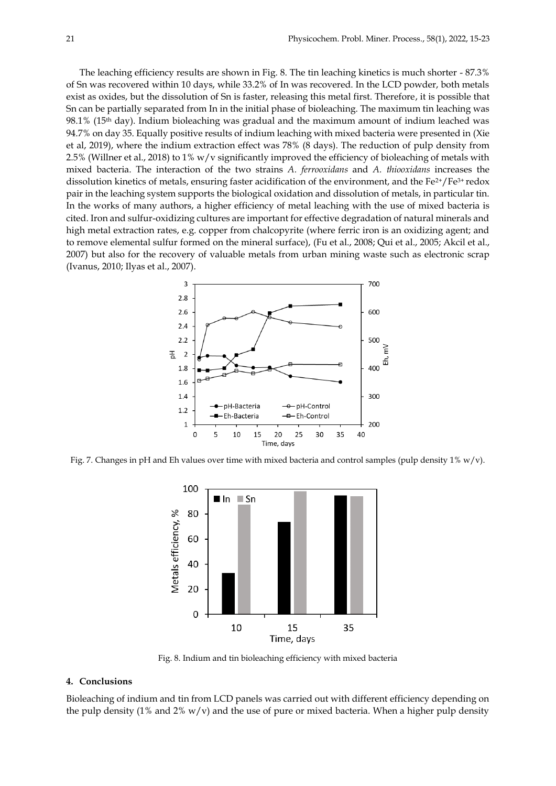The leaching efficiency results are shown in Fig. 8. The tin leaching kinetics is much shorter - 87.3% of Sn was recovered within 10 days, while 33.2% of In was recovered. In the LCD powder, both metals exist as oxides, but the dissolution of Sn is faster, releasing this metal first. Therefore, it is possible that Sn can be partially separated from In in the initial phase of bioleaching. The maximum tin leaching was  $98.1\%$  (15<sup>th</sup> day). Indium bioleaching was gradual and the maximum amount of indium leached was 94.7% on day 35. Equally positive results of indium leaching with mixed bacteria were presented in (Xie et al, 2019), where the indium extraction effect was 78% (8 days). The reduction of pulp density from 2.5% (Willner et al., 2018) to 1% w/v significantly improved the efficiency of bioleaching of metals with mixed bacteria. The interaction of the two strains *A. ferrooxidans* and *A. thiooxidans* increases the dissolution kinetics of metals, ensuring faster acidification of the environment, and the Fe<sup>2+</sup>/Fe<sup>3+</sup> redox pair in the leaching system supports the biological oxidation and dissolution of metals, in particular tin. In the works of many authors, a higher efficiency of metal leaching with the use of mixed bacteria is cited. Iron and sulfur-oxidizing cultures are important for effective degradation of natural minerals and high metal extraction rates, e.g. copper from chalcopyrite (where ferric iron is an oxidizing agent; and to remove elemental sulfur formed on the mineral surface), (Fu et al., 2008; Qui et al., 2005; Akcil et al., 2007) but also for the recovery of valuable metals from urban mining waste such as electronic scrap (Ivanus, 2010; Ilyas et al., 2007).



Fig. 7. Changes in pH and Eh values over time with mixed bacteria and control samples (pulp density  $1\%$  w/v).



Fig. 8. Indium and tin bioleaching efficiency with mixed bacteria

## **4. Conclusions**

Bioleaching of indium and tin from LCD panels was carried out with different efficiency depending on the pulp density (1% and 2%  $w/v$ ) and the use of pure or mixed bacteria. When a higher pulp density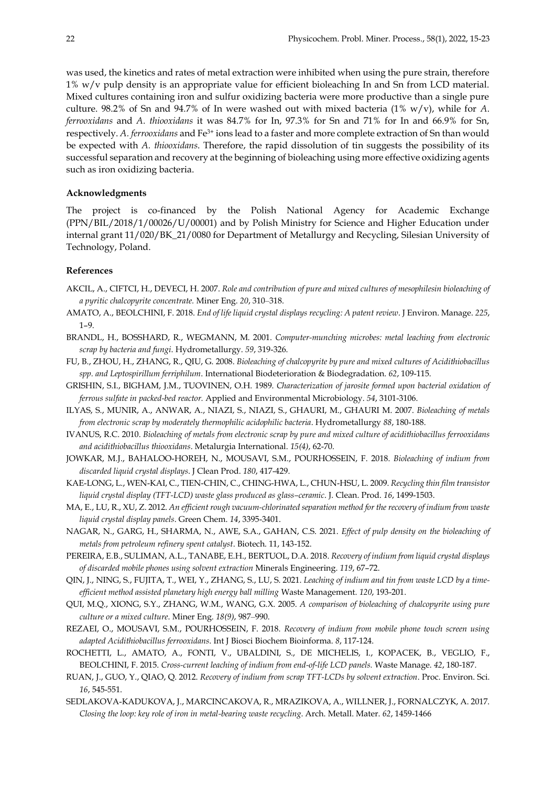was used, the kinetics and rates of metal extraction were inhibited when using the pure strain, therefore 1% w/v pulp density is an appropriate value for efficient bioleaching In and Sn from LCD material. Mixed cultures containing iron and sulfur oxidizing bacteria were more productive than a single pure culture. 98.2% of Sn and 94.7% of In were washed out with mixed bacteria (1% w/v), while for *A*. *ferrooxidans* and *A. thiooxidans* it was 84.7% for In, 97.3% for Sn and 71% for In and 66.9% for Sn, respectively. *A. ferrooxidans* and Fe3+ ions lead to a faster and more complete extraction of Sn than would be expected with *A. thiooxidans*. Therefore, the rapid dissolution of tin suggests the possibility of its successful separation and recovery at the beginning of bioleaching using more effective oxidizing agents such as iron oxidizing bacteria.

## **Acknowledgments**

The project is co-financed by the Polish National Agency for Academic Exchange (PPN/BIL/2018/1/00026/U/00001) and by Polish Ministry for Science and Higher Education under internal grant 11/020/BK\_21/0080 for Department of Metallurgy and Recycling, Silesian University of Technology, Poland.

## **References**

- AKCIL, A., CIFTCI, H., DEVECI, H. 2007. *Role and contribution of pure and mixed cultures of mesophilesin bioleaching of a pyritic chalcopyrite concentrate.* Miner Eng. *20*, 310‒318.
- AMATO, A., BEOLCHINI, F. 2018. *End of life liquid crystal displays recycling: A patent review*. J Environ. Manage. *225*, 1–9.
- BRANDL, H., BOSSHARD, R., WEGMANN, M. 2001. *Computer-munching microbes: metal leaching from electronic scrap by bacteria and fungi*. Hydrometallurgy. *59*, 319-326.
- FU, B., ZHOU, H., ZHANG, R., QIU, G. 2008. *Bioleaching of chalcopyrite by pure and mixed cultures of Acidithiobacillus spp. and Leptospirillum ferriphilum*. International Biodeterioration & Biodegradation. *62*, 109-115.
- GRISHIN, S.I., BIGHAM, J.M., TUOVINEN, O.H. 1989. *Characterization of jarosite formed upon bacterial oxidation of ferrous sulfate in packed-bed reactor.* Applied and Environmental Microbiology. *54*, 3101-3106.
- ILYAS, S., MUNIR, A., ANWAR, A., NIAZI, S., NIAZI, S., GHAURI, M., GHAURI M. 2007. *Bioleaching of metals from electronic scrap by moderately thermophilic acidophilic bacteria*. Hydrometallurgy *88*, 180-188.
- IVANUS, R.C. 2010. *Bioleaching of metals from electronic scrap by pure and mixed culture of acidithiobacillus ferrooxidans and acidithiobacillus thiooxidans*. Metalurgia International. *15(4)*, 62-70.
- JOWKAR, M.J., BAHALOO-HOREH, N., MOUSAVI, S.M., POURHOSSEIN, F. 2018. *Bioleaching of indium from discarded liquid crystal displays*. J Clean Prod. *180*, 417-429.
- KAE-LONG, L., WEN-KAI, C., TIEN-CHIN, C., CHING-HWA, L., CHUN-HSU, L. 2009. *Recycling thin film transistor liquid crystal display (TFT-LCD) waste glass produced as glass–ceramic*. J. Clean. Prod. *16*, 1499-1503.
- MA, E., LU, R., XU, Z. 2012. *An efficient rough vacuum-chlorinated separation method for the recovery of indium from waste liquid crystal display panels*. Green Chem. *14*, 3395-3401.
- NAGAR, N., GARG, H., SHARMA, N., AWE, S.A., GAHAN, C.S. 2021. *Effect of pulp density on the bioleaching of metals from petroleum refinery spent catalyst*. Biotech. 11, 143-152.
- PEREIRA, E.B., SULIMAN, A.L., TANABE, E.H., BERTUOL, D.A. 2018. *Recovery of indium from liquid crystal displays of discarded mobile phones using solvent extraction* Minerals Engineering. *119*, 67–72.
- QIN, J., NING, S., FUJITA, T., WEI, Y., ZHANG, S., LU, S. 2021. *Leaching of indium and tin from waste LCD by a timeefficient method assisted planetary high energy ball milling* Waste Management. *120*, 193-201.
- QUI, M.Q., XIONG, S.Y., ZHANG, W.M., WANG, G.X. 2005. *[A comparison of bioleaching of chalcopyrite using pure](http://www.sciencedirect.com/science/article/pii/S0892687505000397)  [culture or a mixed culture](http://www.sciencedirect.com/science/article/pii/S0892687505000397)*. Miner Eng. *18(9)*, 987‒990.
- REZAEI, O., MOUSAVI, S.M., POURHOSSEIN, F. 2018. *Recovery of indium from mobile phone touch screen using adapted Acidithiobacillus ferrooxidans*. Int J Biosci Biochem Bioinforma. *8*, 117-124.
- ROCHETTI, L., AMATO, A., FONTI, V., UBALDINI, S., DE MICHELIS, I., KOPACEK, B., VEGLIO, F., BEOLCHINI, F. 2015. *Cross-current leaching of indium from end-of-life LCD panels.* Waste Manage. *42*, 180-187.
- RUAN, J., GUO, Y., QIAO, Q. 2012. *Recovery of indium from scrap TFT-LCDs by solvent extraction*. Proc. Environ. Sci. *16*, 545-551.
- SEDLAKOVA-KADUKOVA, J., MARCINCAKOVA, R., MRAZIKOVA, A., WILLNER, J., FORNALCZYK, A. 2017. *Closing the loop: key role of iron in metal-bearing waste recycling*. Arch. Metall. Mater. *62*, 1459-1466